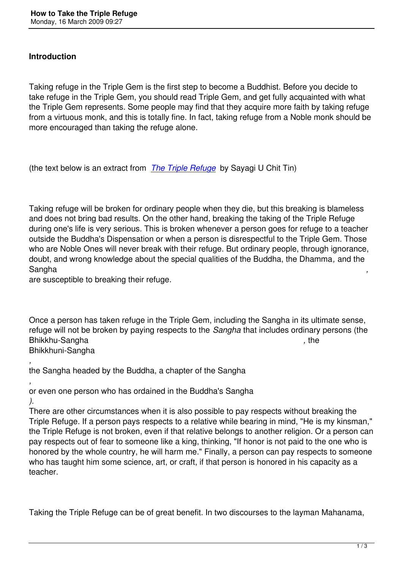Taking refuge in the Triple Gem is the first step to become a Buddhist. Before you decide to take refuge in the Triple Gem, you should read Triple Gem, and get fully acquainted with what the Triple Gem represents. Some people may find that they acquire more faith by taking refuge from a virtuous monk, and this is totally fine. In fact, taking refuge from a Noble monk should be more encouraged than taking the refuge alone.

(the text below is an extract from *The Triple Refuge* by Sayagi U Chit Tin)

Taking refuge will be broken for o[rdinary people whe](http://www.webcom.com/imcuk/uchittin/baswl/BASWL07.html)n they die, but this breaking is blameless and does not bring bad results. On the other hand, breaking the taking of the Triple Refuge during one's life is very serious. This is broken whenever a person goes for refuge to a teacher outside the Buddha's Dispensation or when a person is disrespectful to the Triple Gem. Those who are Noble Ones will never break with their refuge. But ordinary people, through ignorance, doubt, and wrong knowledge about the special qualities of the Buddha, the Dhamma*,* and the Sangha *,* 

are susceptible to breaking their refuge.

Once a person has taken refuge in the Triple Gem, including the Sangha in its ultimate sense, refuge will not be broken by paying respects to the *Sangha* that includes ordinary persons (the Bhikkhu-Sangha *, b* , *the , the , the , the , the , the , the , the , the , the , the , the , the , the , the , the , the , the , the , the , the , the , the , the , the* Bhikkhuni-Sangha

*,*  the Sangha headed by the Buddha, a chapter of the Sangha

*,*  or even one person who has ordained in the Buddha's Sangha *).* 

There are other circumstances when it is also possible to pay respects without breaking the Triple Refuge. If a person pays respects to a relative while bearing in mind, "He is my kinsman," the Triple Refuge is not broken, even if that relative belongs to another religion. Or a person can pay respects out of fear to someone like a king, thinking, "If honor is not paid to the one who is honored by the whole country, he will harm me." Finally, a person can pay respects to someone who has taught him some science, art, or craft, if that person is honored in his capacity as a teacher.

Taking the Triple Refuge can be of great benefit. In two discourses to the layman Mahanama,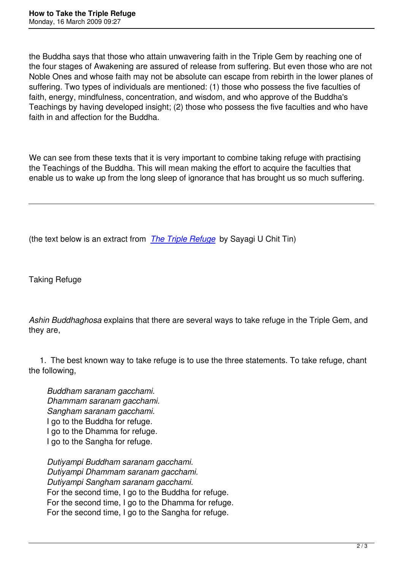the Buddha says that those who attain unwavering faith in the Triple Gem by reaching one of the four stages of Awakening are assured of release from suffering. But even those who are not Noble Ones and whose faith may not be absolute can escape from rebirth in the lower planes of suffering. Two types of individuals are mentioned: (1) those who possess the five faculties of faith, energy, mindfulness, concentration, and wisdom, and who approve of the Buddha's Teachings by having developed insight; (2) those who possess the five faculties and who have faith in and affection for the Buddha.

We can see from these texts that it is very important to combine taking refuge with practising the Teachings of the Buddha. This will mean making the effort to acquire the faculties that enable us to wake up from the long sleep of ignorance that has brought us so much suffering.

(the text below is an extract from *The Triple Refuge* by Sayagi U Chit Tin)

Taking Refuge

*Ashin Buddhaghosa* explains that there are several ways to take refuge in the Triple Gem, and they are,

 1. The best known way to take refuge is to use the three statements. To take refuge, chant the following,

*Buddham saranam gacchami. Dhammam saranam gacchami. Sangham saranam gacchami.*  I go to the Buddha for refuge. I go to the Dhamma for refuge. I go to the Sangha for refuge.

*Dutiyampi Buddham saranam gacchami. Dutiyampi Dhammam saranam gacchami. Dutiyampi Sangham saranam gacchami.*  For the second time, I go to the Buddha for refuge. For the second time, I go to the Dhamma for refuge. For the second time, I go to the Sangha for refuge.